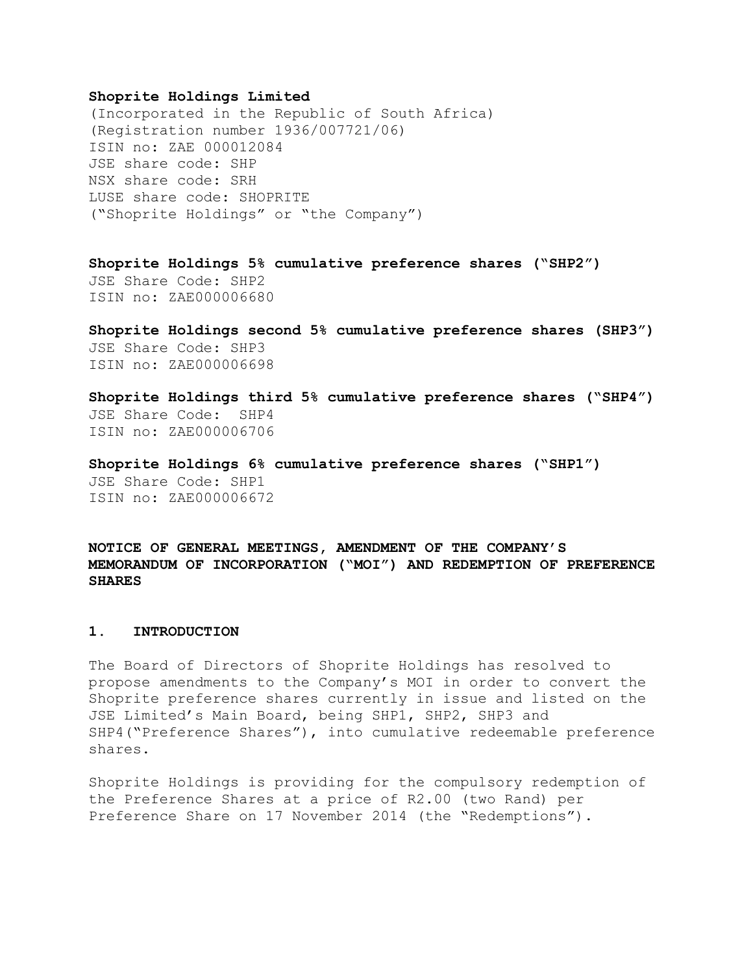## **Shoprite Holdings Limited**

(Incorporated in the Republic of South Africa) (Registration number 1936/007721/06) ISIN no: ZAE 000012084 JSE share code: SHP NSX share code: SRH LUSE share code: SHOPRITE ("Shoprite Holdings" or "the Company")

**Shoprite Holdings 5% cumulative preference shares ("SHP2")** JSE Share Code: SHP2 ISIN no: ZAE000006680

**Shoprite Holdings second 5% cumulative preference shares (SHP3")** JSE Share Code: SHP3 ISIN no: ZAE000006698

**Shoprite Holdings third 5% cumulative preference shares ("SHP4")** JSE Share Code: SHP4 ISIN no: ZAE000006706

**Shoprite Holdings 6% cumulative preference shares ("SHP1")** JSE Share Code: SHP1 ISIN no: ZAE000006672

**NOTICE OF GENERAL MEETINGS, AMENDMENT OF THE COMPANY'S MEMORANDUM OF INCORPORATION ("MOI") AND REDEMPTION OF PREFERENCE SHARES**

## **1. INTRODUCTION**

The Board of Directors of Shoprite Holdings has resolved to propose amendments to the Company's MOI in order to convert the Shoprite preference shares currently in issue and listed on the JSE Limited's Main Board, being SHP1, SHP2, SHP3 and SHP4("Preference Shares"), into cumulative redeemable preference shares.

Shoprite Holdings is providing for the compulsory redemption of the Preference Shares at a price of R2.00 (two Rand) per Preference Share on 17 November 2014 (the "Redemptions").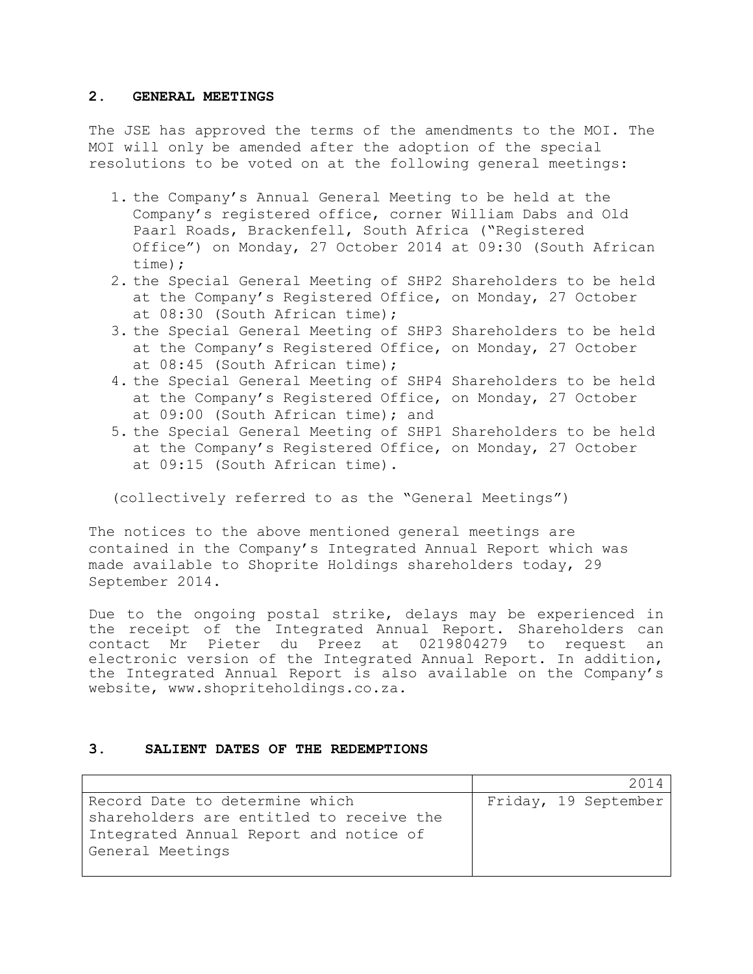## **2. GENERAL MEETINGS**

The JSE has approved the terms of the amendments to the MOI. The MOI will only be amended after the adoption of the special resolutions to be voted on at the following general meetings:

- 1. the Company's Annual General Meeting to be held at the Company's registered office, corner William Dabs and Old Paarl Roads, Brackenfell, South Africa ("Registered Office") on Monday, 27 October 2014 at 09:30 (South African time);
- 2. the Special General Meeting of SHP2 Shareholders to be held at the Company's Registered Office, on Monday, 27 October at 08:30 (South African time);
- 3. the Special General Meeting of SHP3 Shareholders to be held at the Company's Registered Office, on Monday, 27 October at 08:45 (South African time);
- 4. the Special General Meeting of SHP4 Shareholders to be held at the Company's Registered Office, on Monday, 27 October at 09:00 (South African time); and
- 5. the Special General Meeting of SHP1 Shareholders to be held at the Company's Registered Office, on Monday, 27 October at 09:15 (South African time).

(collectively referred to as the "General Meetings")

The notices to the above mentioned general meetings are contained in the Company's Integrated Annual Report which was made available to Shoprite Holdings shareholders today, 29 September 2014.

Due to the ongoing postal strike, delays may be experienced in the receipt of the Integrated Annual Report. Shareholders can contact Mr Pieter du Preez at 0219804279 to request an electronic version of the Integrated Annual Report. In addition, the Integrated Annual Report is also available on the Company's website, www.shopriteholdings.co.za.

## **3. SALIENT DATES OF THE REDEMPTIONS**

|                                          |  | 2014                 |
|------------------------------------------|--|----------------------|
| Record Date to determine which           |  | Friday, 19 September |
| shareholders are entitled to receive the |  |                      |
| Integrated Annual Report and notice of   |  |                      |
| General Meetings                         |  |                      |
|                                          |  |                      |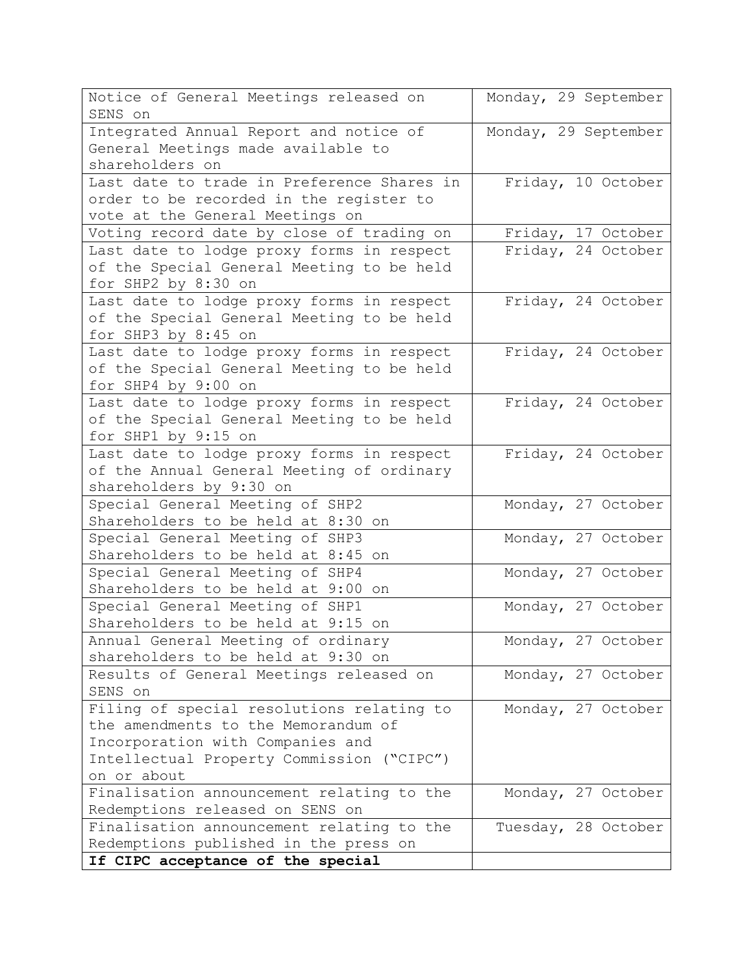| Notice of General Meetings released on<br>SENS on                                | Monday, 29 September |
|----------------------------------------------------------------------------------|----------------------|
| Integrated Annual Report and notice of                                           | Monday, 29 September |
| General Meetings made available to                                               |                      |
| shareholders on                                                                  |                      |
| Last date to trade in Preference Shares in                                       | Friday, 10 October   |
| order to be recorded in the register to                                          |                      |
| vote at the General Meetings on                                                  |                      |
| Voting record date by close of trading on                                        | Friday, 17 October   |
| Last date to lodge proxy forms in respect                                        | Friday, 24 October   |
| of the Special General Meeting to be held                                        |                      |
| for SHP2 by 8:30 on                                                              |                      |
| Last date to lodge proxy forms in respect                                        | Friday, 24 October   |
| of the Special General Meeting to be held                                        |                      |
| for SHP3 by 8:45 on                                                              |                      |
| Last date to lodge proxy forms in respect                                        | Friday, 24 October   |
| of the Special General Meeting to be held                                        |                      |
| for SHP4 by 9:00 on                                                              |                      |
| Last date to lodge proxy forms in respect                                        | Friday, 24 October   |
| of the Special General Meeting to be held                                        |                      |
| for SHP1 by 9:15 on                                                              |                      |
| Last date to lodge proxy forms in respect                                        | Friday, 24 October   |
| of the Annual General Meeting of ordinary                                        |                      |
| shareholders by 9:30 on                                                          |                      |
| Special General Meeting of SHP2                                                  | Monday, 27 October   |
| Shareholders to be held at 8:30 on                                               |                      |
| Special General Meeting of SHP3                                                  | Monday, 27 October   |
| Shareholders to be held at 8:45 on                                               |                      |
| Special General Meeting of SHP4                                                  | Monday, 27 October   |
| Shareholders to be held at 9:00 on                                               |                      |
| Special General Meeting of SHP1                                                  | Monday, 27 October   |
| Shareholders to be held at 9:15 on                                               |                      |
| Annual General Meeting of ordinary                                               | Monday, 27 October   |
| shareholders to be held at 9:30 on                                               |                      |
| Results of General Meetings released on                                          | Monday, 27 October   |
| SENS on                                                                          |                      |
| Filing of special resolutions relating to<br>the amendments to the Memorandum of | Monday, 27 October   |
|                                                                                  |                      |
| Incorporation with Companies and<br>Intellectual Property Commission ("CIPC")    |                      |
| on or about                                                                      |                      |
| Finalisation announcement relating to the                                        | Monday, 27 October   |
| Redemptions released on SENS on                                                  |                      |
| Finalisation announcement relating to the                                        | Tuesday, 28 October  |
| Redemptions published in the press on                                            |                      |
| If CIPC acceptance of the special                                                |                      |